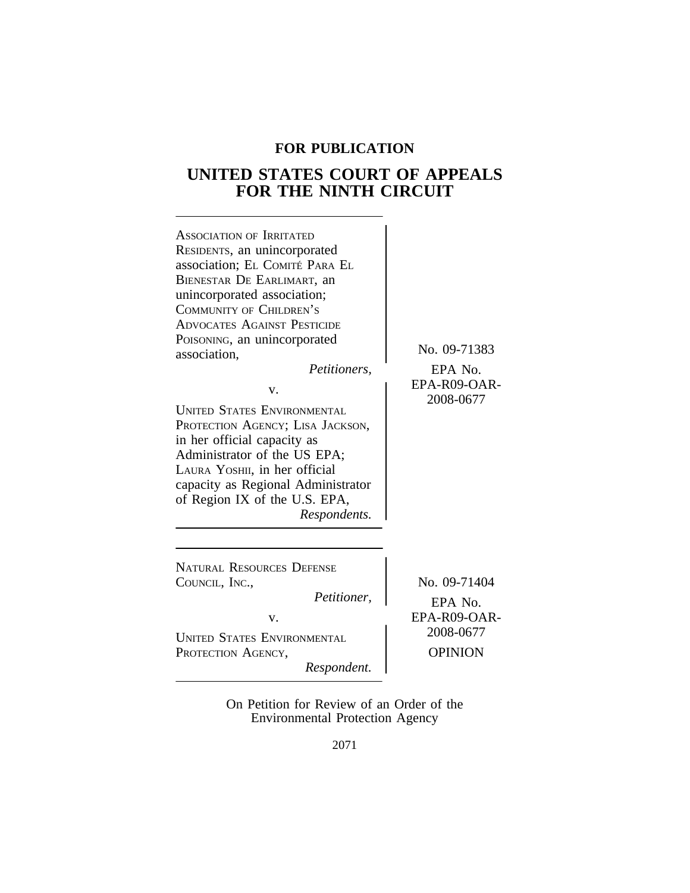# **FOR PUBLICATION**

# **UNITED STATES COURT OF APPEALS FOR THE NINTH CIRCUIT**



On Petition for Review of an Order of the Environmental Protection Agency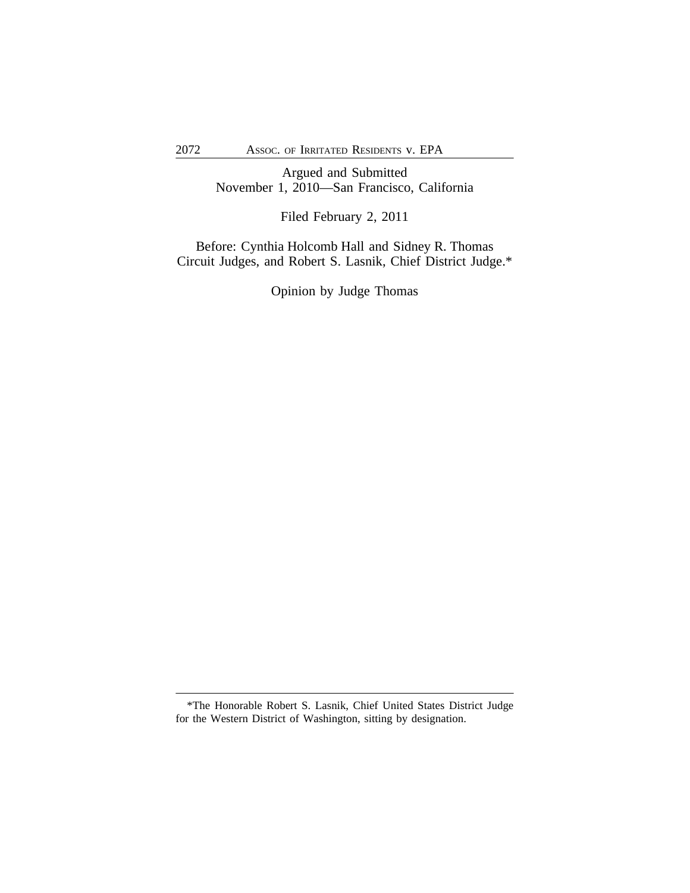Argued and Submitted November 1, 2010—San Francisco, California

Filed February 2, 2011

Before: Cynthia Holcomb Hall and Sidney R. Thomas Circuit Judges, and Robert S. Lasnik, Chief District Judge.\*

Opinion by Judge Thomas

<sup>\*</sup>The Honorable Robert S. Lasnik, Chief United States District Judge for the Western District of Washington, sitting by designation.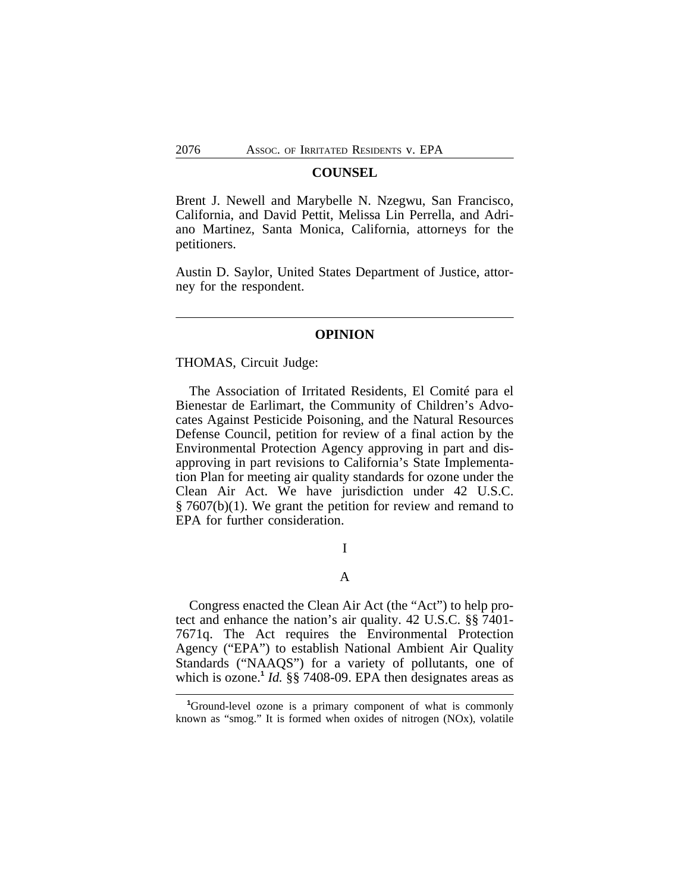#### **COUNSEL**

Brent J. Newell and Marybelle N. Nzegwu, San Francisco, California, and David Pettit, Melissa Lin Perrella, and Adriano Martinez, Santa Monica, California, attorneys for the petitioners.

Austin D. Saylor, United States Department of Justice, attorney for the respondent.

## **OPINION**

#### THOMAS, Circuit Judge:

The Association of Irritated Residents, El Comité para el Bienestar de Earlimart, the Community of Children's Advocates Against Pesticide Poisoning, and the Natural Resources Defense Council, petition for review of a final action by the Environmental Protection Agency approving in part and disapproving in part revisions to California's State Implementation Plan for meeting air quality standards for ozone under the Clean Air Act. We have jurisdiction under 42 U.S.C. § 7607(b)(1). We grant the petition for review and remand to EPA for further consideration.

I

#### A

Congress enacted the Clean Air Act (the "Act") to help protect and enhance the nation's air quality. 42 U.S.C. §§ 7401- 7671q. The Act requires the Environmental Protection Agency ("EPA") to establish National Ambient Air Quality Standards ("NAAQS") for a variety of pollutants, one of which is ozone.**<sup>1</sup>** *Id.* §§ 7408-09. EPA then designates areas as

**<sup>1</sup>**Ground-level ozone is a primary component of what is commonly known as "smog." It is formed when oxides of nitrogen (NOx), volatile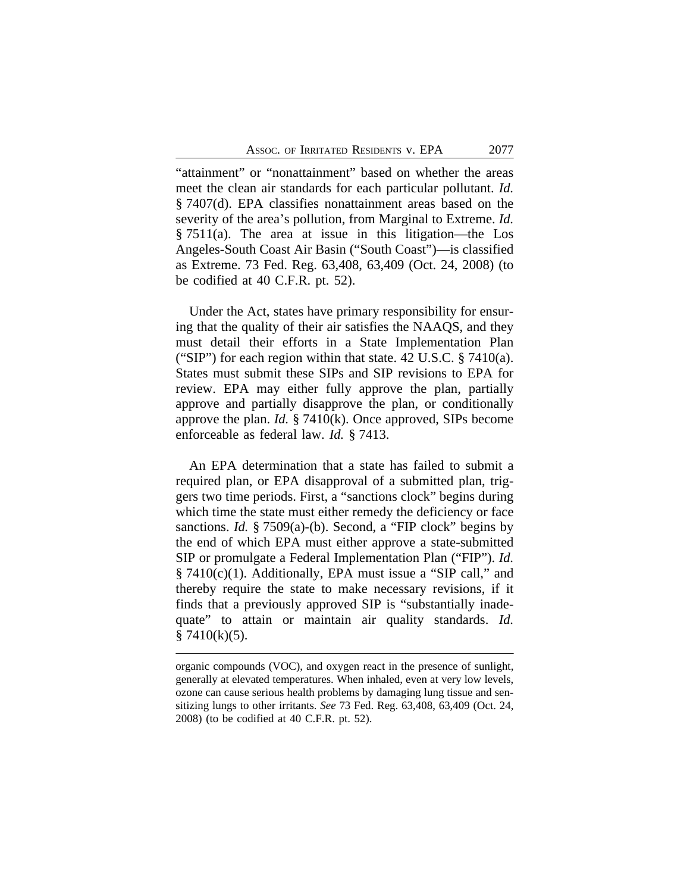"attainment" or "nonattainment" based on whether the areas meet the clean air standards for each particular pollutant. *Id.* § 7407(d). EPA classifies nonattainment areas based on the severity of the area's pollution, from Marginal to Extreme. *Id.* § 7511(a). The area at issue in this litigation—the Los Angeles-South Coast Air Basin ("South Coast")—is classified as Extreme. 73 Fed. Reg. 63,408, 63,409 (Oct. 24, 2008) (to be codified at 40 C.F.R. pt. 52).

Under the Act, states have primary responsibility for ensuring that the quality of their air satisfies the NAAQS, and they must detail their efforts in a State Implementation Plan ("SIP") for each region within that state.  $42 \text{ U.S.C.}$  §  $7410(a)$ . States must submit these SIPs and SIP revisions to EPA for review. EPA may either fully approve the plan, partially approve and partially disapprove the plan, or conditionally approve the plan. *Id.* § 7410(k). Once approved, SIPs become enforceable as federal law. *Id.* § 7413.

An EPA determination that a state has failed to submit a required plan, or EPA disapproval of a submitted plan, triggers two time periods. First, a "sanctions clock" begins during which time the state must either remedy the deficiency or face sanctions. *Id.* § 7509(a)-(b). Second, a "FIP clock" begins by the end of which EPA must either approve a state-submitted SIP or promulgate a Federal Implementation Plan ("FIP"). *Id.* § 7410(c)(1). Additionally, EPA must issue a "SIP call," and thereby require the state to make necessary revisions, if it finds that a previously approved SIP is "substantially inadequate" to attain or maintain air quality standards. *Id.*  $§ 7410(k)(5).$ 

organic compounds (VOC), and oxygen react in the presence of sunlight, generally at elevated temperatures. When inhaled, even at very low levels, ozone can cause serious health problems by damaging lung tissue and sensitizing lungs to other irritants. *See* 73 Fed. Reg. 63,408, 63,409 (Oct. 24, 2008) (to be codified at 40 C.F.R. pt. 52).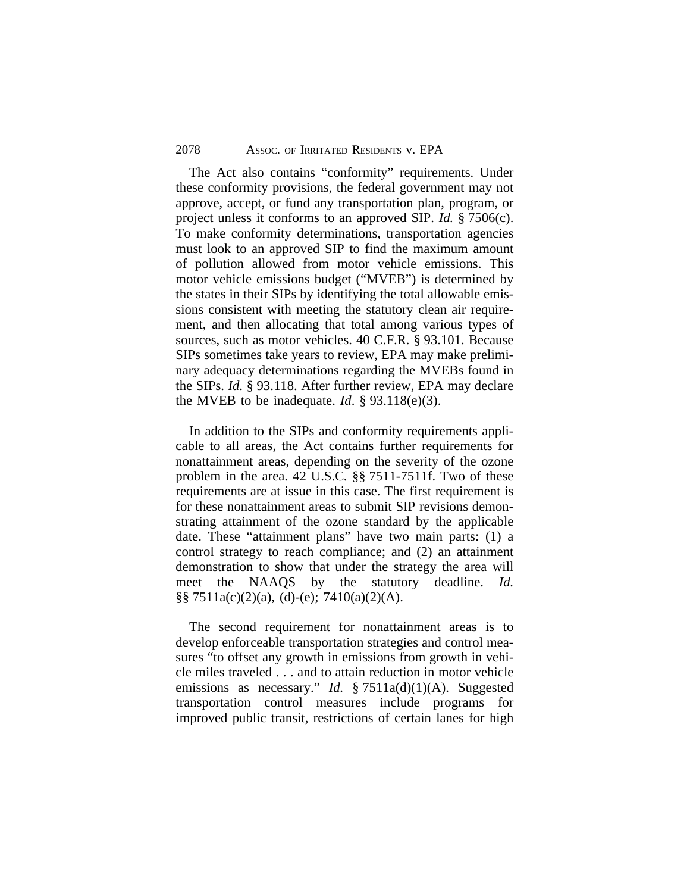The Act also contains "conformity" requirements. Under these conformity provisions, the federal government may not approve, accept, or fund any transportation plan, program, or project unless it conforms to an approved SIP. *Id.* § 7506(c). To make conformity determinations, transportation agencies must look to an approved SIP to find the maximum amount of pollution allowed from motor vehicle emissions. This motor vehicle emissions budget ("MVEB") is determined by the states in their SIPs by identifying the total allowable emissions consistent with meeting the statutory clean air requirement, and then allocating that total among various types of sources, such as motor vehicles. 40 C.F.R. § 93.101. Because SIPs sometimes take years to review, EPA may make preliminary adequacy determinations regarding the MVEBs found in the SIPs. *Id*. § 93.118. After further review, EPA may declare the MVEB to be inadequate. *Id.*  $\S$  93.118(e)(3).

In addition to the SIPs and conformity requirements applicable to all areas, the Act contains further requirements for nonattainment areas, depending on the severity of the ozone problem in the area. 42 U.S.C*.* §§ 7511-7511f. Two of these requirements are at issue in this case. The first requirement is for these nonattainment areas to submit SIP revisions demonstrating attainment of the ozone standard by the applicable date. These "attainment plans" have two main parts: (1) a control strategy to reach compliance; and (2) an attainment demonstration to show that under the strategy the area will meet the NAAQS by the statutory deadline. *Id.*  $\S$ § 7511a(c)(2)(a), (d)-(e); 7410(a)(2)(A).

The second requirement for nonattainment areas is to develop enforceable transportation strategies and control measures "to offset any growth in emissions from growth in vehicle miles traveled . . . and to attain reduction in motor vehicle emissions as necessary." *Id.* § 7511a(d)(1)(A). Suggested transportation control measures include programs for improved public transit, restrictions of certain lanes for high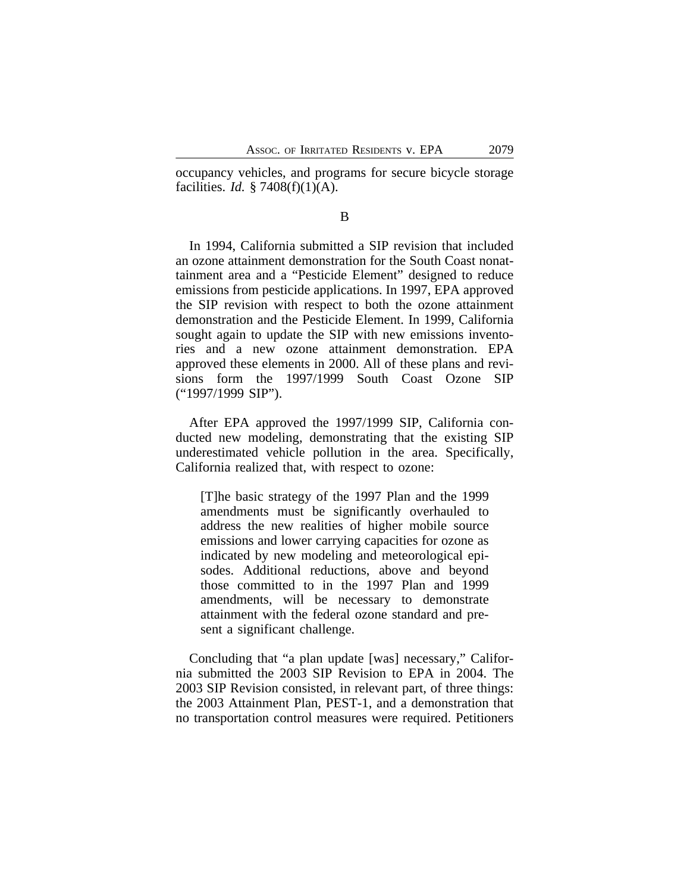occupancy vehicles, and programs for secure bicycle storage facilities. *Id.* § 7408(f)(1)(A).

#### B

In 1994, California submitted a SIP revision that included an ozone attainment demonstration for the South Coast nonattainment area and a "Pesticide Element" designed to reduce emissions from pesticide applications. In 1997, EPA approved the SIP revision with respect to both the ozone attainment demonstration and the Pesticide Element. In 1999, California sought again to update the SIP with new emissions inventories and a new ozone attainment demonstration. EPA approved these elements in 2000. All of these plans and revisions form the 1997/1999 South Coast Ozone SIP ("1997/1999 SIP").

After EPA approved the 1997/1999 SIP, California conducted new modeling, demonstrating that the existing SIP underestimated vehicle pollution in the area. Specifically, California realized that, with respect to ozone:

[T]he basic strategy of the 1997 Plan and the 1999 amendments must be significantly overhauled to address the new realities of higher mobile source emissions and lower carrying capacities for ozone as indicated by new modeling and meteorological episodes. Additional reductions, above and beyond those committed to in the 1997 Plan and 1999 amendments, will be necessary to demonstrate attainment with the federal ozone standard and present a significant challenge.

Concluding that "a plan update [was] necessary," California submitted the 2003 SIP Revision to EPA in 2004. The 2003 SIP Revision consisted, in relevant part, of three things: the 2003 Attainment Plan, PEST-1, and a demonstration that no transportation control measures were required. Petitioners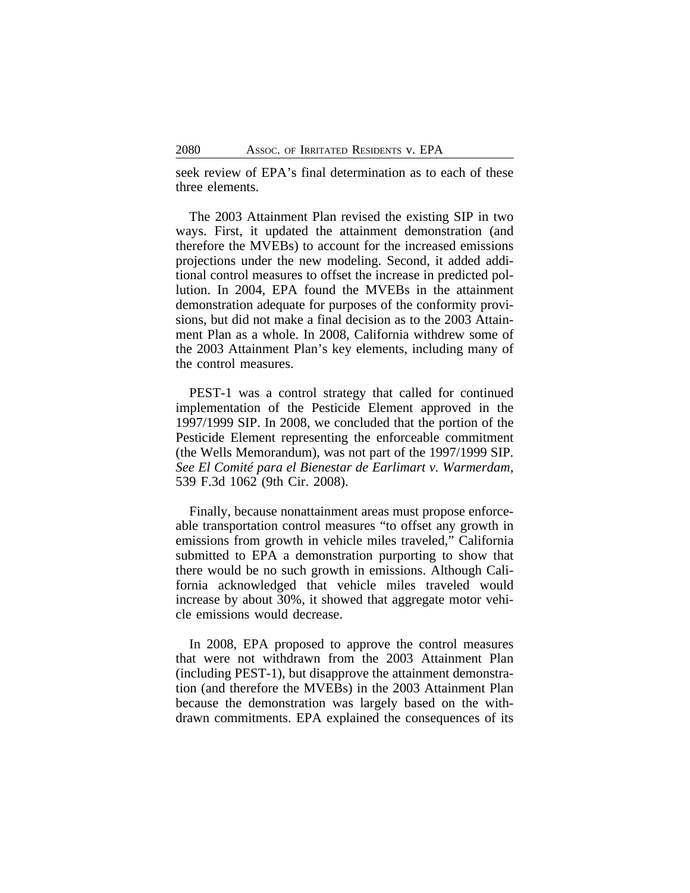seek review of EPA's final determination as to each of these three elements.

The 2003 Attainment Plan revised the existing SIP in two ways. First, it updated the attainment demonstration (and therefore the MVEBs) to account for the increased emissions projections under the new modeling. Second, it added additional control measures to offset the increase in predicted pollution. In 2004, EPA found the MVEBs in the attainment demonstration adequate for purposes of the conformity provisions, but did not make a final decision as to the 2003 Attainment Plan as a whole. In 2008, California withdrew some of the 2003 Attainment Plan's key elements, including many of the control measures.

PEST-1 was a control strategy that called for continued implementation of the Pesticide Element approved in the 1997/1999 SIP. In 2008, we concluded that the portion of the Pesticide Element representing the enforceable commitment (the Wells Memorandum), was not part of the 1997/1999 SIP. *See El Comité para el Bienestar de Earlimart v. Warmerdam*, 539 F.3d 1062 (9th Cir. 2008).

Finally, because nonattainment areas must propose enforceable transportation control measures "to offset any growth in emissions from growth in vehicle miles traveled," California submitted to EPA a demonstration purporting to show that there would be no such growth in emissions. Although California acknowledged that vehicle miles traveled would increase by about 30%, it showed that aggregate motor vehicle emissions would decrease.

In 2008, EPA proposed to approve the control measures that were not withdrawn from the 2003 Attainment Plan (including PEST-1), but disapprove the attainment demonstration (and therefore the MVEBs) in the 2003 Attainment Plan because the demonstration was largely based on the withdrawn commitments. EPA explained the consequences of its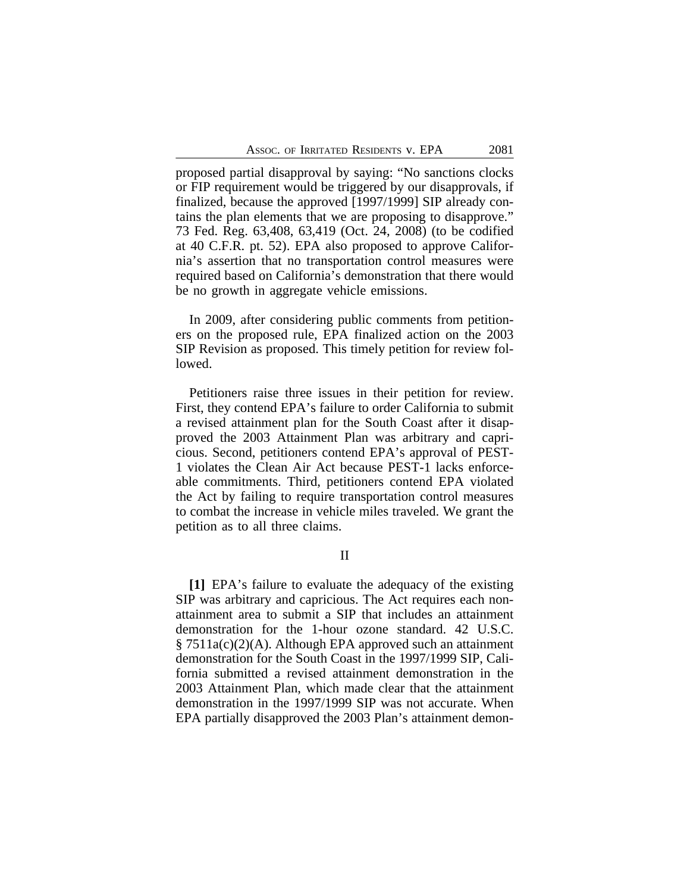proposed partial disapproval by saying: "No sanctions clocks or FIP requirement would be triggered by our disapprovals, if finalized, because the approved [1997/1999] SIP already contains the plan elements that we are proposing to disapprove." 73 Fed. Reg. 63,408, 63,419 (Oct. 24, 2008) (to be codified at 40 C.F.R. pt. 52). EPA also proposed to approve California's assertion that no transportation control measures were required based on California's demonstration that there would be no growth in aggregate vehicle emissions.

In 2009, after considering public comments from petitioners on the proposed rule, EPA finalized action on the 2003 SIP Revision as proposed. This timely petition for review followed.

Petitioners raise three issues in their petition for review. First, they contend EPA's failure to order California to submit a revised attainment plan for the South Coast after it disapproved the 2003 Attainment Plan was arbitrary and capricious. Second, petitioners contend EPA's approval of PEST-1 violates the Clean Air Act because PEST-1 lacks enforceable commitments. Third, petitioners contend EPA violated the Act by failing to require transportation control measures to combat the increase in vehicle miles traveled. We grant the petition as to all three claims.

II

**[1]** EPA's failure to evaluate the adequacy of the existing SIP was arbitrary and capricious. The Act requires each nonattainment area to submit a SIP that includes an attainment demonstration for the 1-hour ozone standard. 42 U.S.C. § 7511a(c)(2)(A). Although EPA approved such an attainment demonstration for the South Coast in the 1997/1999 SIP, California submitted a revised attainment demonstration in the 2003 Attainment Plan, which made clear that the attainment demonstration in the 1997/1999 SIP was not accurate. When EPA partially disapproved the 2003 Plan's attainment demon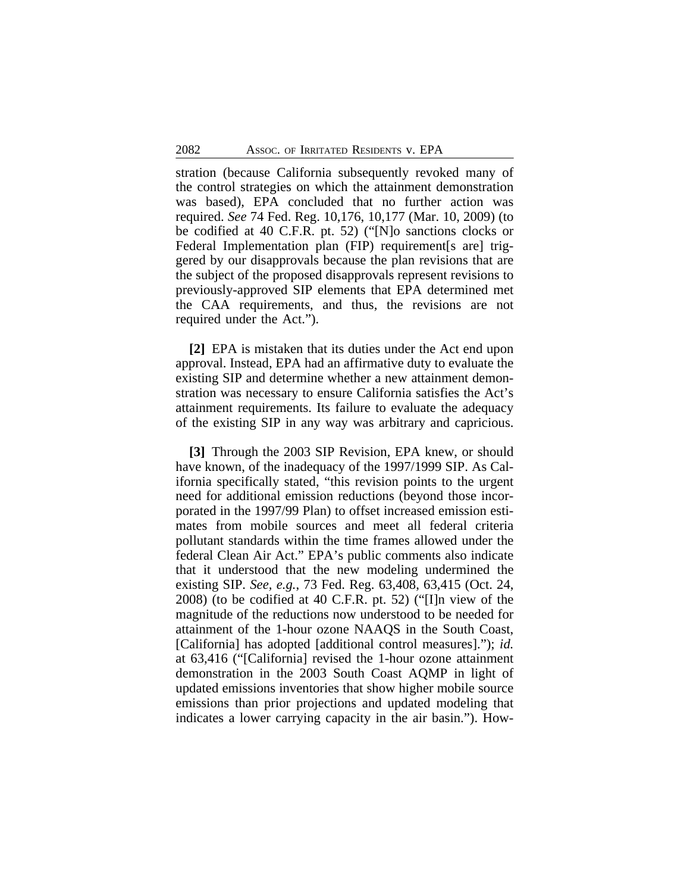stration (because California subsequently revoked many of the control strategies on which the attainment demonstration was based), EPA concluded that no further action was required. *See* 74 Fed. Reg. 10,176, 10,177 (Mar. 10, 2009) (to be codified at 40 C.F.R. pt. 52) ("[N]o sanctions clocks or Federal Implementation plan (FIP) requirement [s are] triggered by our disapprovals because the plan revisions that are the subject of the proposed disapprovals represent revisions to previously-approved SIP elements that EPA determined met the CAA requirements, and thus, the revisions are not required under the Act.").

**[2]** EPA is mistaken that its duties under the Act end upon approval. Instead, EPA had an affirmative duty to evaluate the existing SIP and determine whether a new attainment demonstration was necessary to ensure California satisfies the Act's attainment requirements. Its failure to evaluate the adequacy of the existing SIP in any way was arbitrary and capricious.

**[3]** Through the 2003 SIP Revision, EPA knew, or should have known, of the inadequacy of the 1997/1999 SIP. As California specifically stated, "this revision points to the urgent need for additional emission reductions (beyond those incorporated in the 1997/99 Plan) to offset increased emission estimates from mobile sources and meet all federal criteria pollutant standards within the time frames allowed under the federal Clean Air Act." EPA's public comments also indicate that it understood that the new modeling undermined the existing SIP. *See, e.g.*, 73 Fed. Reg. 63,408, 63,415 (Oct. 24, 2008) (to be codified at 40 C.F.R. pt. 52) ("[I]n view of the magnitude of the reductions now understood to be needed for attainment of the 1-hour ozone NAAQS in the South Coast, [California] has adopted [additional control measures]."); *id.* at 63,416 ("[California] revised the 1-hour ozone attainment demonstration in the 2003 South Coast AQMP in light of updated emissions inventories that show higher mobile source emissions than prior projections and updated modeling that indicates a lower carrying capacity in the air basin."). How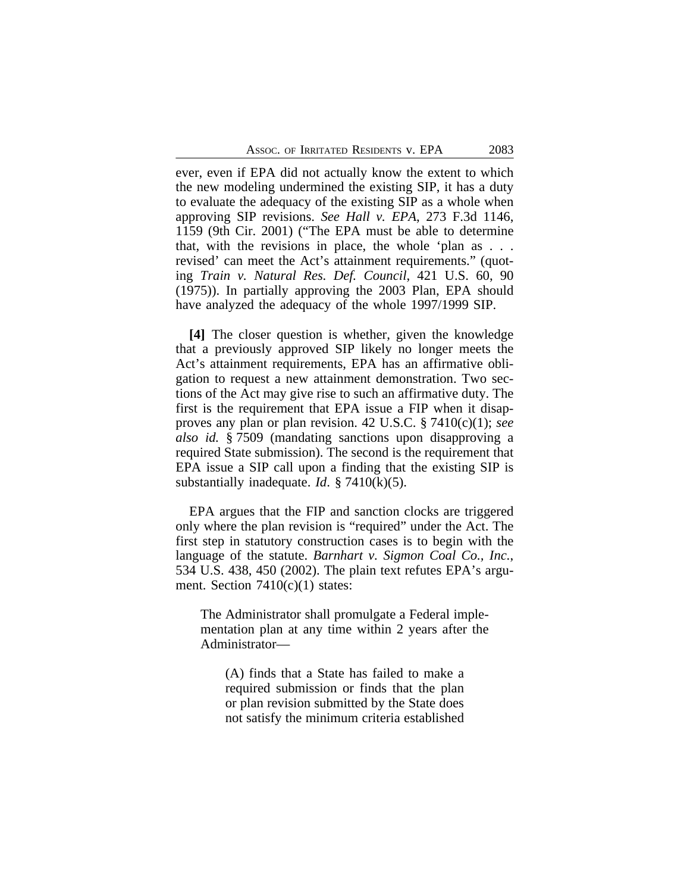ever, even if EPA did not actually know the extent to which the new modeling undermined the existing SIP, it has a duty to evaluate the adequacy of the existing SIP as a whole when approving SIP revisions. *See Hall v. EPA*, 273 F.3d 1146, 1159 (9th Cir. 2001) ("The EPA must be able to determine that, with the revisions in place, the whole 'plan as . . . revised' can meet the Act's attainment requirements." (quoting *Train v. Natural Res. Def. Council*, 421 U.S. 60, 90 (1975)). In partially approving the 2003 Plan, EPA should have analyzed the adequacy of the whole 1997/1999 SIP.

**[4]** The closer question is whether, given the knowledge that a previously approved SIP likely no longer meets the Act's attainment requirements, EPA has an affirmative obligation to request a new attainment demonstration. Two sections of the Act may give rise to such an affirmative duty. The first is the requirement that EPA issue a FIP when it disapproves any plan or plan revision. 42 U.S.C. § 7410(c)(1); *see also id.* § 7509 (mandating sanctions upon disapproving a required State submission). The second is the requirement that EPA issue a SIP call upon a finding that the existing SIP is substantially inadequate. *Id*. § 7410(k)(5).

EPA argues that the FIP and sanction clocks are triggered only where the plan revision is "required" under the Act. The first step in statutory construction cases is to begin with the language of the statute. *Barnhart v. Sigmon Coal Co., Inc.*, 534 U.S. 438, 450 (2002). The plain text refutes EPA's argument. Section  $7410(c)(1)$  states:

The Administrator shall promulgate a Federal implementation plan at any time within 2 years after the Administrator—

(A) finds that a State has failed to make a required submission or finds that the plan or plan revision submitted by the State does not satisfy the minimum criteria established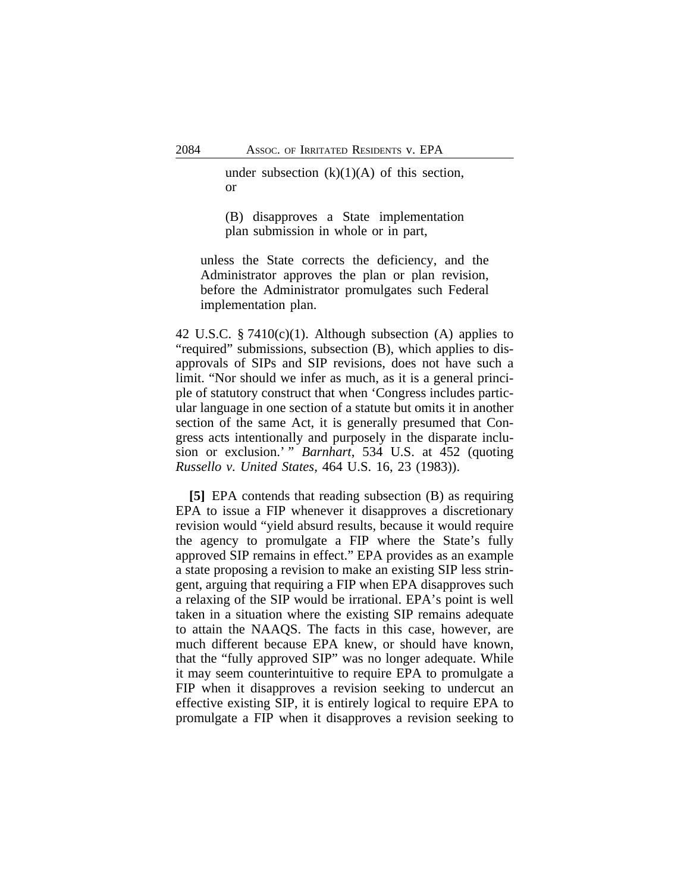under subsection  $(k)(1)(A)$  of this section, or

(B) disapproves a State implementation plan submission in whole or in part,

unless the State corrects the deficiency, and the Administrator approves the plan or plan revision, before the Administrator promulgates such Federal implementation plan.

42 U.S.C.  $\S 7410(c)(1)$ . Although subsection (A) applies to "required" submissions, subsection (B), which applies to disapprovals of SIPs and SIP revisions, does not have such a limit. "Nor should we infer as much, as it is a general principle of statutory construct that when 'Congress includes particular language in one section of a statute but omits it in another section of the same Act, it is generally presumed that Congress acts intentionally and purposely in the disparate inclusion or exclusion.' " *Barnhart*, 534 U.S. at 452 (quoting *Russello v. United States*, 464 U.S. 16, 23 (1983)).

**[5]** EPA contends that reading subsection (B) as requiring EPA to issue a FIP whenever it disapproves a discretionary revision would "yield absurd results, because it would require the agency to promulgate a FIP where the State's fully approved SIP remains in effect." EPA provides as an example a state proposing a revision to make an existing SIP less stringent, arguing that requiring a FIP when EPA disapproves such a relaxing of the SIP would be irrational. EPA's point is well taken in a situation where the existing SIP remains adequate to attain the NAAQS. The facts in this case, however, are much different because EPA knew, or should have known, that the "fully approved SIP" was no longer adequate. While it may seem counterintuitive to require EPA to promulgate a FIP when it disapproves a revision seeking to undercut an effective existing SIP, it is entirely logical to require EPA to promulgate a FIP when it disapproves a revision seeking to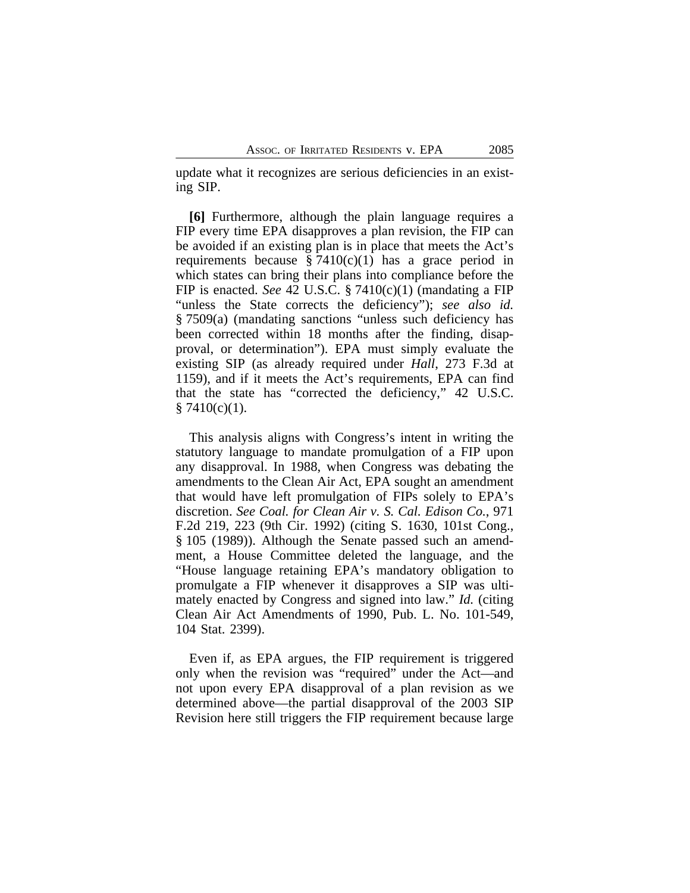update what it recognizes are serious deficiencies in an existing SIP.

**[6]** Furthermore, although the plain language requires a FIP every time EPA disapproves a plan revision, the FIP can be avoided if an existing plan is in place that meets the Act's requirements because  $\S 7410(c)(1)$  has a grace period in which states can bring their plans into compliance before the FIP is enacted. *See* 42 U.S.C. § 7410(c)(1) (mandating a FIP "unless the State corrects the deficiency"); *see also id.* § 7509(a) (mandating sanctions "unless such deficiency has been corrected within 18 months after the finding, disapproval, or determination"). EPA must simply evaluate the existing SIP (as already required under *Hall*, 273 F.3d at 1159), and if it meets the Act's requirements, EPA can find that the state has "corrected the deficiency," 42 U.S.C.  $§ 7410(c)(1).$ 

This analysis aligns with Congress's intent in writing the statutory language to mandate promulgation of a FIP upon any disapproval. In 1988, when Congress was debating the amendments to the Clean Air Act, EPA sought an amendment that would have left promulgation of FIPs solely to EPA's discretion. *See Coal. for Clean Air v. S. Cal. Edison Co.*, 971 F.2d 219, 223 (9th Cir. 1992) (citing S. 1630, 101st Cong., § 105 (1989)). Although the Senate passed such an amendment, a House Committee deleted the language, and the "House language retaining EPA's mandatory obligation to promulgate a FIP whenever it disapproves a SIP was ultimately enacted by Congress and signed into law." *Id.* (citing Clean Air Act Amendments of 1990, Pub. L. No. 101-549, 104 Stat. 2399).

Even if, as EPA argues, the FIP requirement is triggered only when the revision was "required" under the Act—and not upon every EPA disapproval of a plan revision as we determined above—the partial disapproval of the 2003 SIP Revision here still triggers the FIP requirement because large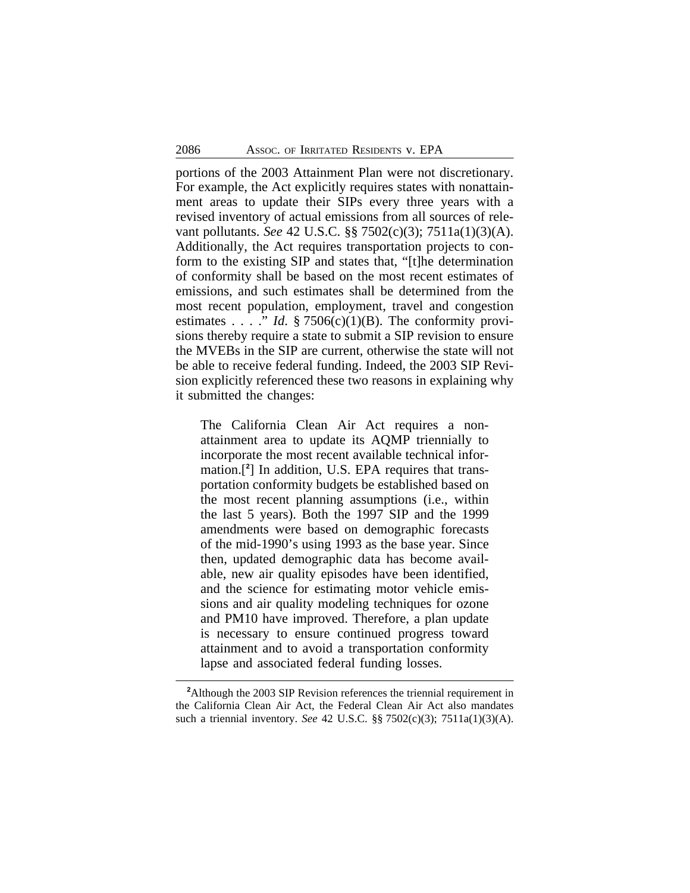portions of the 2003 Attainment Plan were not discretionary. For example, the Act explicitly requires states with nonattainment areas to update their SIPs every three years with a revised inventory of actual emissions from all sources of relevant pollutants. *See* 42 U.S.C. §§ 7502(c)(3); 7511a(1)(3)(A). Additionally, the Act requires transportation projects to conform to the existing SIP and states that, "[t]he determination of conformity shall be based on the most recent estimates of emissions, and such estimates shall be determined from the most recent population, employment, travel and congestion estimates . . . ." *Id*. § 7506(c)(1)(B). The conformity provisions thereby require a state to submit a SIP revision to ensure the MVEBs in the SIP are current, otherwise the state will not be able to receive federal funding. Indeed, the 2003 SIP Revision explicitly referenced these two reasons in explaining why it submitted the changes:

The California Clean Air Act requires a nonattainment area to update its AQMP triennially to incorporate the most recent available technical information.[**<sup>2</sup>** ] In addition, U.S. EPA requires that transportation conformity budgets be established based on the most recent planning assumptions (i.e., within the last 5 years). Both the 1997 SIP and the 1999 amendments were based on demographic forecasts of the mid-1990's using 1993 as the base year. Since then, updated demographic data has become available, new air quality episodes have been identified, and the science for estimating motor vehicle emissions and air quality modeling techniques for ozone and PM10 have improved. Therefore, a plan update is necessary to ensure continued progress toward attainment and to avoid a transportation conformity lapse and associated federal funding losses.

**<sup>2</sup>**Although the 2003 SIP Revision references the triennial requirement in the California Clean Air Act, the Federal Clean Air Act also mandates such a triennial inventory. *See* 42 U.S.C. §§ 7502(c)(3); 7511a(1)(3)(A).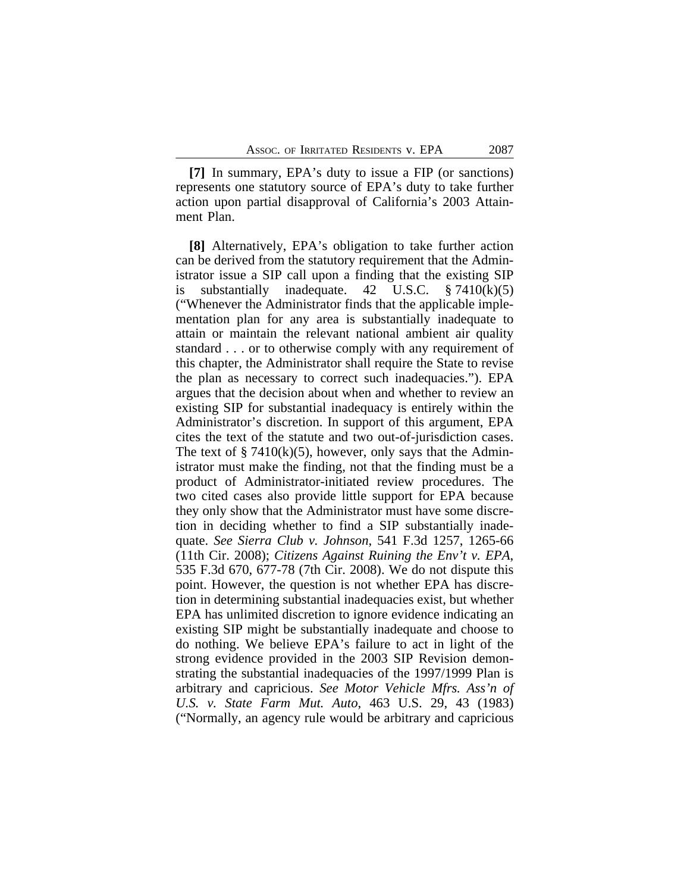**[7]** In summary, EPA's duty to issue a FIP (or sanctions) represents one statutory source of EPA's duty to take further action upon partial disapproval of California's 2003 Attainment Plan.

**[8]** Alternatively, EPA's obligation to take further action can be derived from the statutory requirement that the Administrator issue a SIP call upon a finding that the existing SIP is substantially inadequate. 42 U.S.C.  $\S 7410(k)(5)$ ("Whenever the Administrator finds that the applicable implementation plan for any area is substantially inadequate to attain or maintain the relevant national ambient air quality standard . . . or to otherwise comply with any requirement of this chapter, the Administrator shall require the State to revise the plan as necessary to correct such inadequacies."). EPA argues that the decision about when and whether to review an existing SIP for substantial inadequacy is entirely within the Administrator's discretion. In support of this argument, EPA cites the text of the statute and two out-of-jurisdiction cases. The text of  $\S 7410(k)(5)$ , however, only says that the Administrator must make the finding, not that the finding must be a product of Administrator-initiated review procedures. The two cited cases also provide little support for EPA because they only show that the Administrator must have some discretion in deciding whether to find a SIP substantially inadequate. *See Sierra Club v. Johnson*, 541 F.3d 1257, 1265-66 (11th Cir. 2008); *Citizens Against Ruining the Env't v. EPA*, 535 F.3d 670, 677-78 (7th Cir. 2008). We do not dispute this point. However, the question is not whether EPA has discretion in determining substantial inadequacies exist, but whether EPA has unlimited discretion to ignore evidence indicating an existing SIP might be substantially inadequate and choose to do nothing. We believe EPA's failure to act in light of the strong evidence provided in the 2003 SIP Revision demonstrating the substantial inadequacies of the 1997/1999 Plan is arbitrary and capricious. *See Motor Vehicle Mfrs. Ass'n of U.S. v. State Farm Mut. Auto*, 463 U.S. 29, 43 (1983) ("Normally, an agency rule would be arbitrary and capricious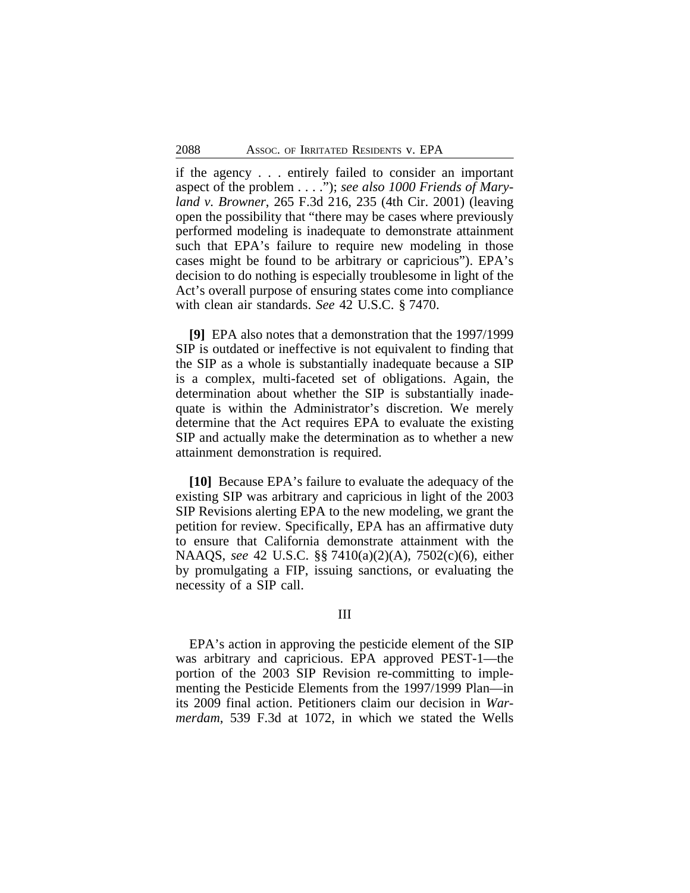if the agency . . . entirely failed to consider an important aspect of the problem . . . ."); *see also 1000 Friends of Maryland v. Browner*, 265 F.3d 216, 235 (4th Cir. 2001) (leaving open the possibility that "there may be cases where previously performed modeling is inadequate to demonstrate attainment such that EPA's failure to require new modeling in those cases might be found to be arbitrary or capricious"). EPA's decision to do nothing is especially troublesome in light of the Act's overall purpose of ensuring states come into compliance with clean air standards. *See* 42 U.S.C. § 7470.

**[9]** EPA also notes that a demonstration that the 1997/1999 SIP is outdated or ineffective is not equivalent to finding that the SIP as a whole is substantially inadequate because a SIP is a complex, multi-faceted set of obligations. Again, the determination about whether the SIP is substantially inadequate is within the Administrator's discretion. We merely determine that the Act requires EPA to evaluate the existing SIP and actually make the determination as to whether a new attainment demonstration is required.

**[10]** Because EPA's failure to evaluate the adequacy of the existing SIP was arbitrary and capricious in light of the 2003 SIP Revisions alerting EPA to the new modeling, we grant the petition for review. Specifically, EPA has an affirmative duty to ensure that California demonstrate attainment with the NAAQS, *see* 42 U.S.C. §§ 7410(a)(2)(A), 7502(c)(6), either by promulgating a FIP, issuing sanctions, or evaluating the necessity of a SIP call.

# III

EPA's action in approving the pesticide element of the SIP was arbitrary and capricious. EPA approved PEST-1—the portion of the 2003 SIP Revision re-committing to implementing the Pesticide Elements from the 1997/1999 Plan—in its 2009 final action. Petitioners claim our decision in *Warmerdam*, 539 F.3d at 1072, in which we stated the Wells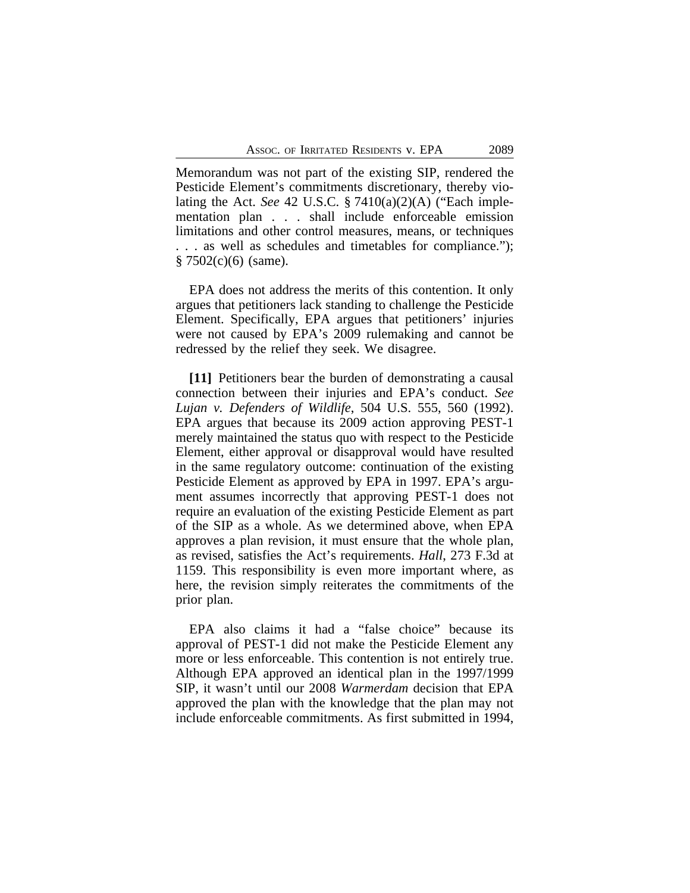Memorandum was not part of the existing SIP, rendered the Pesticide Element's commitments discretionary, thereby violating the Act. *See* 42 U.S.C. § 7410(a)(2)(A) ("Each implementation plan . . . shall include enforceable emission limitations and other control measures, means, or techniques . . . as well as schedules and timetables for compliance.");  $§ 7502(c)(6)$  (same).

EPA does not address the merits of this contention. It only argues that petitioners lack standing to challenge the Pesticide Element. Specifically, EPA argues that petitioners' injuries were not caused by EPA's 2009 rulemaking and cannot be redressed by the relief they seek. We disagree.

**[11]** Petitioners bear the burden of demonstrating a causal connection between their injuries and EPA's conduct. *See Lujan v. Defenders of Wildlife*, 504 U.S. 555, 560 (1992). EPA argues that because its 2009 action approving PEST-1 merely maintained the status quo with respect to the Pesticide Element, either approval or disapproval would have resulted in the same regulatory outcome: continuation of the existing Pesticide Element as approved by EPA in 1997. EPA's argument assumes incorrectly that approving PEST-1 does not require an evaluation of the existing Pesticide Element as part of the SIP as a whole. As we determined above, when EPA approves a plan revision, it must ensure that the whole plan, as revised, satisfies the Act's requirements. *Hall*, 273 F.3d at 1159. This responsibility is even more important where, as here, the revision simply reiterates the commitments of the prior plan.

EPA also claims it had a "false choice" because its approval of PEST-1 did not make the Pesticide Element any more or less enforceable. This contention is not entirely true. Although EPA approved an identical plan in the 1997/1999 SIP, it wasn't until our 2008 *Warmerdam* decision that EPA approved the plan with the knowledge that the plan may not include enforceable commitments. As first submitted in 1994,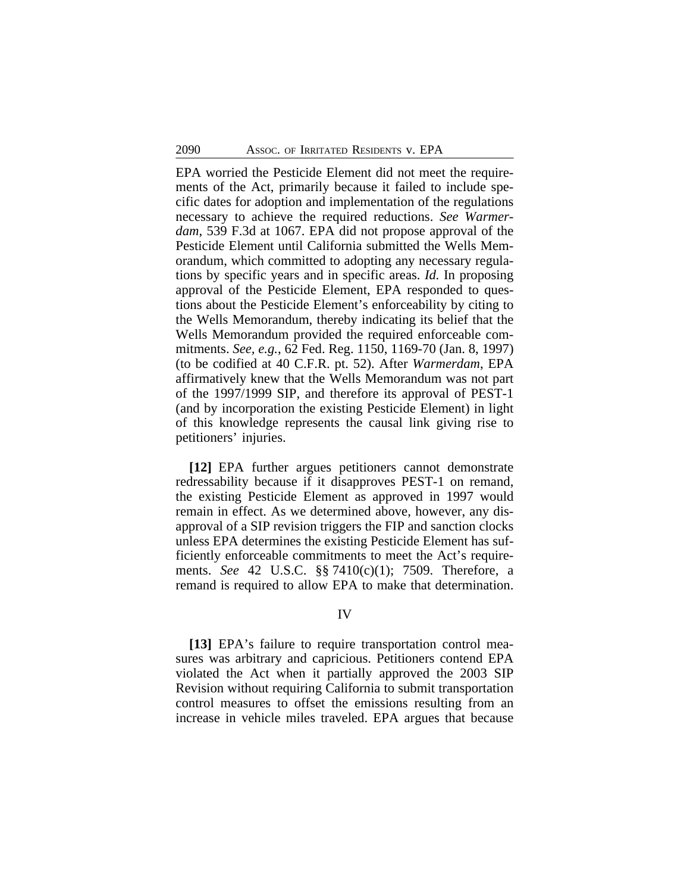EPA worried the Pesticide Element did not meet the requirements of the Act, primarily because it failed to include specific dates for adoption and implementation of the regulations necessary to achieve the required reductions. *See Warmerdam*, 539 F.3d at 1067. EPA did not propose approval of the Pesticide Element until California submitted the Wells Memorandum, which committed to adopting any necessary regulations by specific years and in specific areas. *Id.* In proposing approval of the Pesticide Element, EPA responded to questions about the Pesticide Element's enforceability by citing to the Wells Memorandum, thereby indicating its belief that the Wells Memorandum provided the required enforceable commitments. *See, e.g.*, 62 Fed. Reg. 1150, 1169-70 (Jan. 8, 1997) (to be codified at 40 C.F.R. pt. 52). After *Warmerdam*, EPA affirmatively knew that the Wells Memorandum was not part of the 1997/1999 SIP, and therefore its approval of PEST-1 (and by incorporation the existing Pesticide Element) in light of this knowledge represents the causal link giving rise to petitioners' injuries.

**[12]** EPA further argues petitioners cannot demonstrate redressability because if it disapproves PEST-1 on remand, the existing Pesticide Element as approved in 1997 would remain in effect. As we determined above, however, any disapproval of a SIP revision triggers the FIP and sanction clocks unless EPA determines the existing Pesticide Element has sufficiently enforceable commitments to meet the Act's requirements. *See* 42 U.S.C. §§ 7410(c)(1); 7509. Therefore, a remand is required to allow EPA to make that determination.

### IV

**[13]** EPA's failure to require transportation control measures was arbitrary and capricious. Petitioners contend EPA violated the Act when it partially approved the 2003 SIP Revision without requiring California to submit transportation control measures to offset the emissions resulting from an increase in vehicle miles traveled. EPA argues that because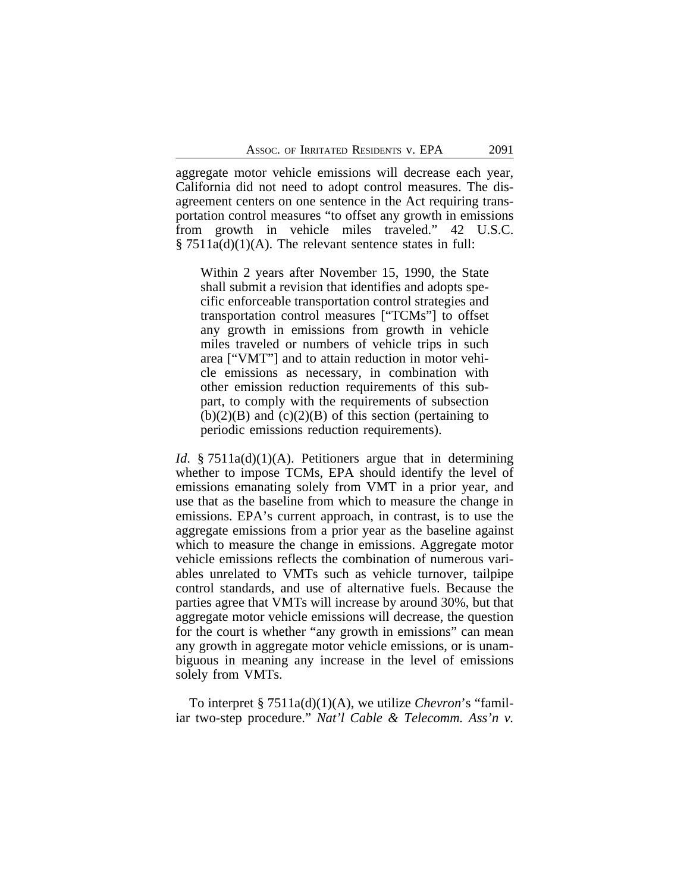aggregate motor vehicle emissions will decrease each year, California did not need to adopt control measures. The disagreement centers on one sentence in the Act requiring transportation control measures "to offset any growth in emissions from growth in vehicle miles traveled." 42 U.S.C.  $\S 7511a(d)(1)(A)$ . The relevant sentence states in full:

Within 2 years after November 15, 1990, the State shall submit a revision that identifies and adopts specific enforceable transportation control strategies and transportation control measures ["TCMs"] to offset any growth in emissions from growth in vehicle miles traveled or numbers of vehicle trips in such area ["VMT"] and to attain reduction in motor vehicle emissions as necessary, in combination with other emission reduction requirements of this subpart, to comply with the requirements of subsection  $(b)(2)(B)$  and  $(c)(2)(B)$  of this section (pertaining to periodic emissions reduction requirements).

*Id.* § 7511a(d)(1)(A). Petitioners argue that in determining whether to impose TCMs, EPA should identify the level of emissions emanating solely from VMT in a prior year, and use that as the baseline from which to measure the change in emissions. EPA's current approach, in contrast, is to use the aggregate emissions from a prior year as the baseline against which to measure the change in emissions. Aggregate motor vehicle emissions reflects the combination of numerous variables unrelated to VMTs such as vehicle turnover, tailpipe control standards, and use of alternative fuels. Because the parties agree that VMTs will increase by around 30%, but that aggregate motor vehicle emissions will decrease, the question for the court is whether "any growth in emissions" can mean any growth in aggregate motor vehicle emissions, or is unambiguous in meaning any increase in the level of emissions solely from VMTs.

To interpret § 7511a(d)(1)(A), we utilize *Chevron*'s "familiar two-step procedure." *Nat'l Cable & Telecomm. Ass'n v.*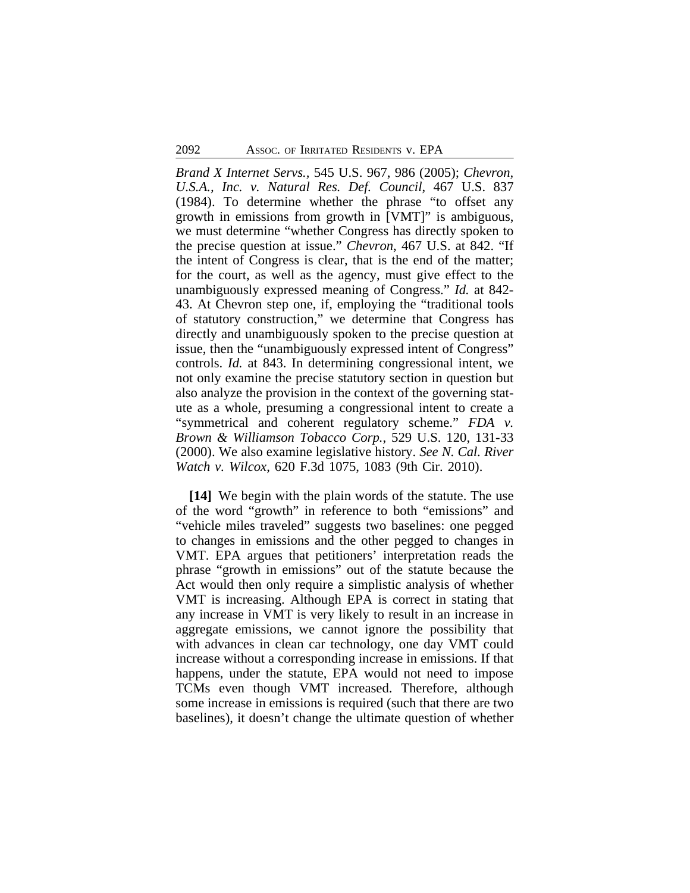*Brand X Internet Servs.,* 545 U.S. 967, 986 (2005); *Chevron, U.S.A., Inc. v. Natural Res. Def. Council*, 467 U.S. 837 (1984). To determine whether the phrase "to offset any growth in emissions from growth in [VMT]" is ambiguous, we must determine "whether Congress has directly spoken to the precise question at issue." *Chevron*, 467 U.S. at 842. "If the intent of Congress is clear, that is the end of the matter; for the court, as well as the agency, must give effect to the unambiguously expressed meaning of Congress." *Id.* at 842- 43. At Chevron step one, if, employing the "traditional tools of statutory construction," we determine that Congress has directly and unambiguously spoken to the precise question at issue, then the "unambiguously expressed intent of Congress" controls. *Id.* at 843. In determining congressional intent, we not only examine the precise statutory section in question but also analyze the provision in the context of the governing statute as a whole, presuming a congressional intent to create a "symmetrical and coherent regulatory scheme." *FDA v. Brown & Williamson Tobacco Corp.*, 529 U.S. 120, 131-33 (2000). We also examine legislative history. *See N. Cal. River Watch v. Wilcox*, 620 F.3d 1075, 1083 (9th Cir. 2010).

**[14]** We begin with the plain words of the statute. The use of the word "growth" in reference to both "emissions" and "vehicle miles traveled" suggests two baselines: one pegged to changes in emissions and the other pegged to changes in VMT. EPA argues that petitioners' interpretation reads the phrase "growth in emissions" out of the statute because the Act would then only require a simplistic analysis of whether VMT is increasing. Although EPA is correct in stating that any increase in VMT is very likely to result in an increase in aggregate emissions, we cannot ignore the possibility that with advances in clean car technology, one day VMT could increase without a corresponding increase in emissions. If that happens, under the statute, EPA would not need to impose TCMs even though VMT increased. Therefore, although some increase in emissions is required (such that there are two baselines), it doesn't change the ultimate question of whether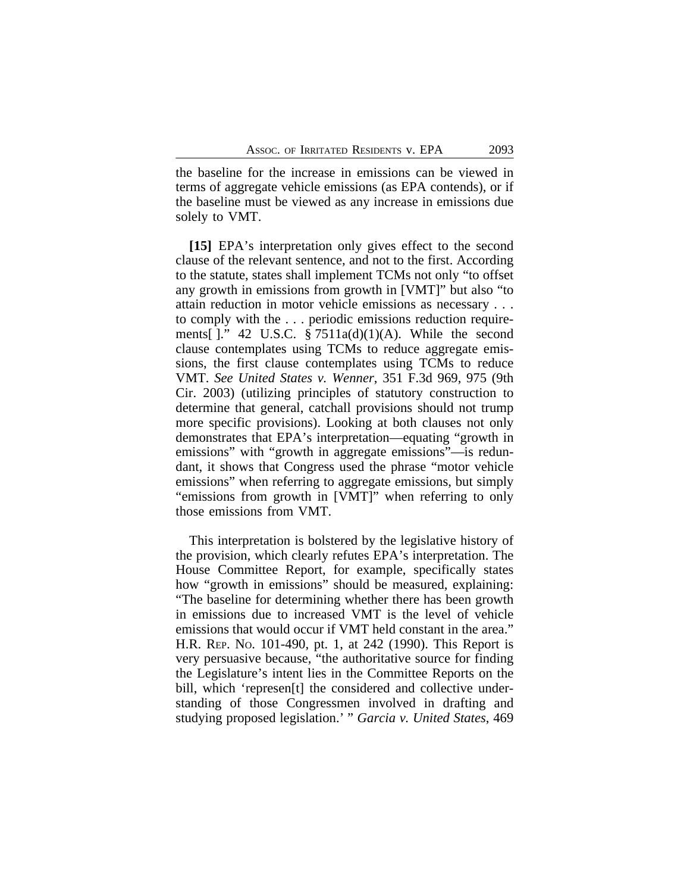the baseline for the increase in emissions can be viewed in terms of aggregate vehicle emissions (as EPA contends), or if the baseline must be viewed as any increase in emissions due solely to VMT.

**[15]** EPA's interpretation only gives effect to the second clause of the relevant sentence, and not to the first. According to the statute, states shall implement TCMs not only "to offset any growth in emissions from growth in [VMT]" but also "to attain reduction in motor vehicle emissions as necessary . . . to comply with the . . . periodic emissions reduction requirements[ $]$ ." 42 U.S.C. § 7511a(d)(1)(A). While the second clause contemplates using TCMs to reduce aggregate emissions, the first clause contemplates using TCMs to reduce VMT. *See United States v. Wenner*, 351 F.3d 969, 975 (9th Cir. 2003) (utilizing principles of statutory construction to determine that general, catchall provisions should not trump more specific provisions). Looking at both clauses not only demonstrates that EPA's interpretation—equating "growth in emissions" with "growth in aggregate emissions"—is redundant, it shows that Congress used the phrase "motor vehicle emissions" when referring to aggregate emissions, but simply "emissions from growth in [VMT]" when referring to only those emissions from VMT.

This interpretation is bolstered by the legislative history of the provision, which clearly refutes EPA's interpretation. The House Committee Report, for example, specifically states how "growth in emissions" should be measured, explaining: "The baseline for determining whether there has been growth in emissions due to increased VMT is the level of vehicle emissions that would occur if VMT held constant in the area." H.R. REP. NO. 101-490, pt. 1, at 242 (1990). This Report is very persuasive because, "the authoritative source for finding the Legislature's intent lies in the Committee Reports on the bill, which 'represen[t] the considered and collective understanding of those Congressmen involved in drafting and studying proposed legislation.' " *Garcia v. United States*, 469